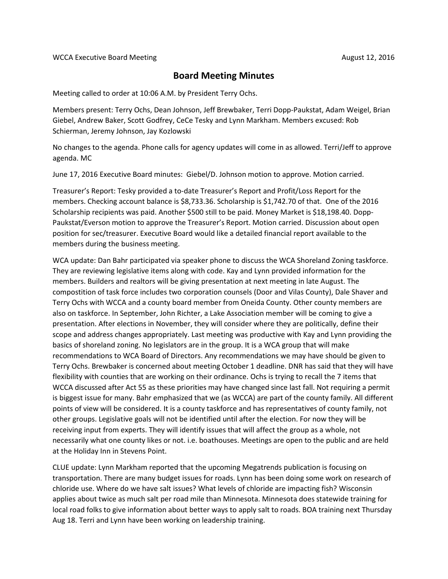## **Board Meeting Minutes**

Meeting called to order at 10:06 A.M. by President Terry Ochs.

Members present: Terry Ochs, Dean Johnson, Jeff Brewbaker, Terri Dopp-Paukstat, Adam Weigel, Brian Giebel, Andrew Baker, Scott Godfrey, CeCe Tesky and Lynn Markham. Members excused: Rob Schierman, Jeremy Johnson, Jay Kozlowski

No changes to the agenda. Phone calls for agency updates will come in as allowed. Terri/Jeff to approve agenda. MC

June 17, 2016 Executive Board minutes: Giebel/D. Johnson motion to approve. Motion carried.

Treasurer's Report: Tesky provided a to-date Treasurer's Report and Profit/Loss Report for the members. Checking account balance is \$8,733.36. Scholarship is \$1,742.70 of that. One of the 2016 Scholarship recipients was paid. Another \$500 still to be paid. Money Market is \$18,198.40. Dopp-Paukstat/Everson motion to approve the Treasurer's Report. Motion carried. Discussion about open position for sec/treasurer. Executive Board would like a detailed financial report available to the members during the business meeting.

WCA update: Dan Bahr participated via speaker phone to discuss the WCA Shoreland Zoning taskforce. They are reviewing legislative items along with code. Kay and Lynn provided information for the members. Builders and realtors will be giving presentation at next meeting in late August. The compostition of task force includes two corporation counsels (Door and Vilas County), Dale Shaver and Terry Ochs with WCCA and a county board member from Oneida County. Other county members are also on taskforce. In September, John Richter, a Lake Association member will be coming to give a presentation. After elections in November, they will consider where they are politically, define their scope and address changes appropriately. Last meeting was productive with Kay and Lynn providing the basics of shoreland zoning. No legislators are in the group. It is a WCA group that will make recommendations to WCA Board of Directors. Any recommendations we may have should be given to Terry Ochs. Brewbaker is concerned about meeting October 1 deadline. DNR has said that they will have flexibility with counties that are working on their ordinance. Ochs is trying to recall the 7 items that WCCA discussed after Act 55 as these priorities may have changed since last fall. Not requiring a permit is biggest issue for many. Bahr emphasized that we (as WCCA) are part of the county family. All different points of view will be considered. It is a county taskforce and has representatives of county family, not other groups. Legislative goals will not be identified until after the election. For now they will be receiving input from experts. They will identify issues that will affect the group as a whole, not necessarily what one county likes or not. i.e. boathouses. Meetings are open to the public and are held at the Holiday Inn in Stevens Point.

CLUE update: Lynn Markham reported that the upcoming Megatrends publication is focusing on transportation. There are many budget issues for roads. Lynn has been doing some work on research of chloride use. Where do we have salt issues? What levels of chloride are impacting fish? Wisconsin applies about twice as much salt per road mile than Minnesota. Minnesota does statewide training for local road folks to give information about better ways to apply salt to roads. BOA training next Thursday Aug 18. Terri and Lynn have been working on leadership training.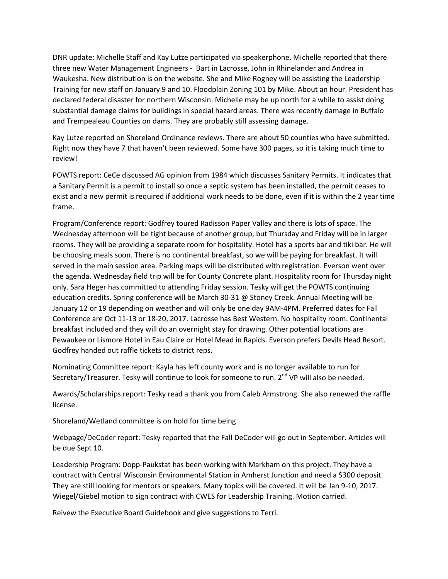DNR update: Michelle Staff and Kay Lutze participated via speakerphone. Michelle reported that there three new Water Management Engineers - Bart in Lacrosse, John in Rhinelander and Andrea in Waukesha. New distribution is on the website. She and Mike Rogney will be assisting the Leadership Training for new staff on January 9 and 10. Floodplain Zoning 101 by Mike. About an hour. President has declared federal disaster for northern Wisconsin. Michelle may be up north for a while to assist doing substantial damage claims for buildings in special hazard areas. There was recently damage in Buffalo and Trempealeau Counties on dams. They are probably still assessing damage.

Kay Lutze reported on Shoreland Ordinance reviews. There are about 50 counties who have submitted. Right now they have 7 that haven't been reviewed. Some have 300 pages, so it is taking much time to review!

POWTS report: CeCe discussed AG opinion from 1984 which discusses Sanitary Permits. It indicates that a Sanitary Permit is a permit to install so once a septic system has been installed, the permit ceases to exist and a new permit is required if additional work needs to be done, even if it is within the 2 year time frame.

Program/Conference report: Godfrey toured Radisson Paper Valley and there is lots of space. The Wednesday afternoon will be tight because of another group, but Thursday and Friday will be in larger rooms. They will be providing a separate room for hospitality. Hotel has a sports bar and tiki bar. He will be choosing meals soon. There is no continental breakfast, so we will be paying for breakfast. It will served in the main session area. Parking maps will be distributed with registration. Everson went over the agenda. Wednesday field trip will be for County Concrete plant. Hospitality room for Thursday night only. Sara Heger has committed to attending Friday session. Tesky will get the POWTS continuing education credits. Spring conference will be March 30-31 @ Stoney Creek. Annual Meeting will be January 12 or 19 depending on weather and will only be one day 9AM-4PM. Preferred dates for Fall Conference are Oct 11-13 or 18-20, 2017. Lacrosse has Best Western. No hospitality room. Continental breakfast included and they will do an overnight stay for drawing. Other potential locations are Pewaukee or Lismore Hotel in Eau Claire or Hotel Mead in Rapids. Everson prefers Devils Head Resort. Godfrey handed out raffle tickets to district reps.

Nominating Committee report: Kayla has left county work and is no longer available to run for Secretary/Treasurer. Tesky will continue to look for someone to run. 2<sup>nd</sup> VP will also be needed.

Awards/Scholarships report: Tesky read a thank you from Caleb Armstrong. She also renewed the raffle license.

Shoreland/Wetland committee is on hold for time being

Webpage/DeCoder report: Tesky reported that the Fall DeCoder will go out in September. Articles will be due Sept 10.

Leadership Program: Dopp-Paukstat has been working with Markham on this project. They have a contract with Central Wisconsin Environmental Station in Amherst Junction and need a \$300 deposit. They are still looking for mentors or speakers. Many topics will be covered. It will be Jan 9-10, 2017. Wiegel/Giebel motion to sign contract with CWES for Leadership Training. Motion carried.

Reivew the Executive Board Guidebook and give suggestions to Terri.